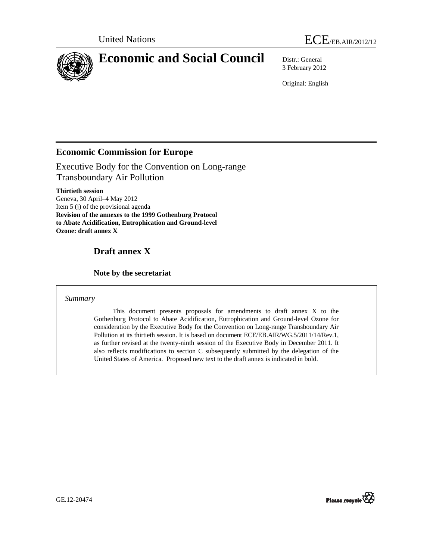

3 February 2012

Original: English

## **Economic Commission for Europe**

Executive Body for the Convention on Long-range Transboundary Air Pollution

**Thirtieth session**  Geneva, 30 April–4 May 2012 Item 5 (j) of the provisional agenda **Revision of the annexes to the 1999 Gothenburg Protocol to Abate Acidification, Eutrophication and Ground-level Ozone: draft annex X** 

# **Draft annex X**

## **Note by the secretariat**

## *Summary*

 This document presents proposals for amendments to draft annex X to the Gothenburg Protocol to Abate Acidification, Eutrophication and Ground-level Ozone for consideration by the Executive Body for the Convention on Long-range Transboundary Air Pollution at its thirtieth session. It is based on document ECE/EB.AIR/WG.5/2011/14/Rev.1, as further revised at the twenty-ninth session of the Executive Body in December 2011. It also reflects modifications to section C subsequently submitted by the delegation of the United States of America. Proposed new text to the draft annex is indicated in bold.

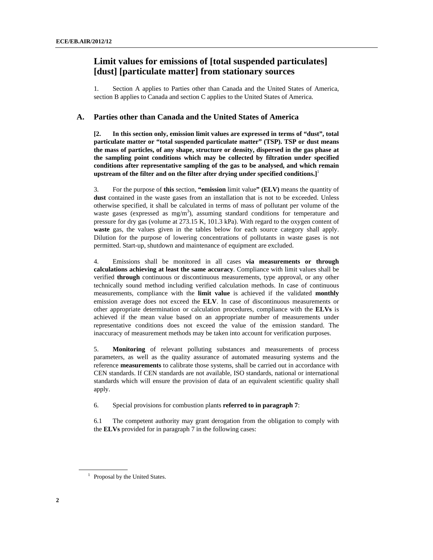## **Limit values for emissions of [total suspended particulates] [dust] [particulate matter] from stationary sources**

1. Section A applies to Parties other than Canada and the United States of America, section B applies to Canada and section C applies to the United States of America.

#### **A. Parties other than Canada and the United States of America**

**[2. In this section only, emission limit values are expressed in terms of "dust", total particulate matter or "total suspended particulate matter" (TSP). TSP or dust means the mass of particles, of any shape, structure or density, dispersed in the gas phase at the sampling point conditions which may be collected by filtration under specified conditions after representative sampling of the gas to be analysed, and which remain upstream of the filter and on the filter after drying under specified conditions.]**<sup>1</sup>

3. For the purpose of **this** section, **"emission** limit value**" (ELV)** means the quantity of **dust** contained in the waste gases from an installation that is not to be exceeded. Unless otherwise specified, it shall be calculated in terms of mass of pollutant per volume of the waste gases (expressed as  $mg/m<sup>3</sup>$ ), assuming standard conditions for temperature and pressure for dry gas (volume at 273.15 K, 101.3 kPa). With regard to the oxygen content of **waste** gas, the values given in the tables below for each source category shall apply. Dilution for the purpose of lowering concentrations of pollutants in waste gases is not permitted. Start-up, shutdown and maintenance of equipment are excluded.

4. Emissions shall be monitored in all cases **via measurements or through calculations achieving at least the same accuracy**. Compliance with limit values shall be verified **through** continuous or discontinuous measurements, type approval, or any other technically sound method including verified calculation methods. In case of continuous measurements, compliance with the **limit value** is achieved if the validated **monthly** emission average does not exceed the **ELV**. In case of discontinuous measurements or other appropriate determination or calculation procedures, compliance with the **ELVs** is achieved if the mean value based on an appropriate number of measurements under representative conditions does not exceed the value of the emission standard. The inaccuracy of measurement methods may be taken into account for verification purposes.

5. **Monitoring** of relevant polluting substances and measurements of process parameters, as well as the quality assurance of automated measuring systems and the reference **measurements** to calibrate those systems, shall be carried out in accordance with CEN standards. If CEN standards are not available, ISO standards, national or international standards which will ensure the provision of data of an equivalent scientific quality shall apply.

6. Special provisions for combustion plants **referred to in paragraph 7**:

6.1 The competent authority may grant derogation from the obligation to comply with the **ELVs** provided for in paragraph 7 in the following cases:

<sup>&</sup>lt;sup>1</sup> Proposal by the United States.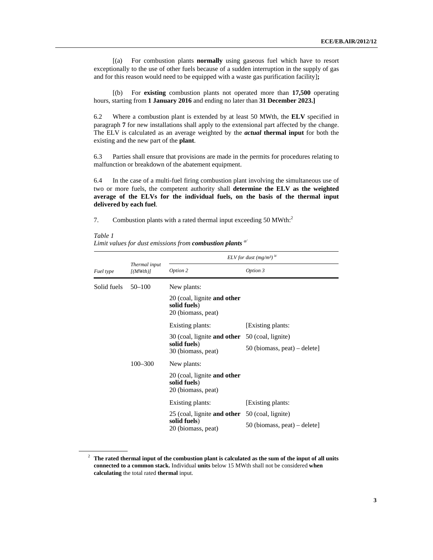[(a) For combustion plants **normally** using gaseous fuel which have to resort exceptionally to the use of other fuels because of a sudden interruption in the supply of gas and for this reason would need to be equipped with a waste gas purification facility]**;** 

 [(b) For **existing** combustion plants not operated more than **17,500** operating hours, starting from **1 January 2016** and ending no later than **31 December 2023.]**

6.2 Where a combustion plant is extended by at least 50 MWth, the **ELV** specified in paragraph **7** for new installations shall apply to the extensional part affected by the change. The ELV is calculated as an average weighted by the *actual* **thermal input** for both the existing and the new part of the **plant**.

6.3 Parties shall ensure that provisions are made in the permits for procedures relating to malfunction or breakdown of the abatement equipment.

6.4 In the case of a multi-fuel firing combustion plant involving the simultaneous use of two or more fuels, the competent authority shall **determine the ELV as the weighted average of the ELVs for the individual fuels, on the basis of the thermal input delivered by each fuel**.

7. Combustion plants with a rated thermal input exceeding  $50 \text{ MW}$ th:<sup>2</sup>

*Table 1 Limit values for dust emissions from combustion plants a/*

|             |                          | ELV for dust (mg/m <sup>3)</sup>                                                            |                              |
|-------------|--------------------------|---------------------------------------------------------------------------------------------|------------------------------|
| Fuel type   | Thermal input<br>[(MWh)] | Option 2                                                                                    | Option 3                     |
| Solid fuels | $50 - 100$               | New plants:                                                                                 |                              |
|             |                          | 20 (coal, lignite <b>and other</b><br>solid fuels)<br>20 (biomass, peat)                    |                              |
|             |                          | Existing plants:                                                                            | [Existing plants:            |
|             |                          | 30 (coal, lignite <b>and other</b> 50 (coal, lignite)<br>solid fuels)<br>30 (biomass, peat) |                              |
|             |                          |                                                                                             | 50 (biomass, peat) – delete] |
|             | $100 - 300$              | New plants:                                                                                 |                              |
|             |                          | 20 (coal, lignite <b>and other</b><br>solid fuels)<br>20 (biomass, peat)                    |                              |
|             |                          | Existing plants:                                                                            | [Existing plants:            |
|             |                          | 25 (coal, lignite <b>and other</b> 50 (coal, lignite)                                       |                              |
|             |                          | solid fuels)<br>20 (biomass, peat)                                                          | 50 (biomass, peat) – delete] |

<sup>2</sup> **The rated thermal input of the combustion plant is calculated as the sum of the input of all units connected to a common stack.** Individual **units** below 15 MWth shall not be considered **when calculating** the total rated **thermal** input.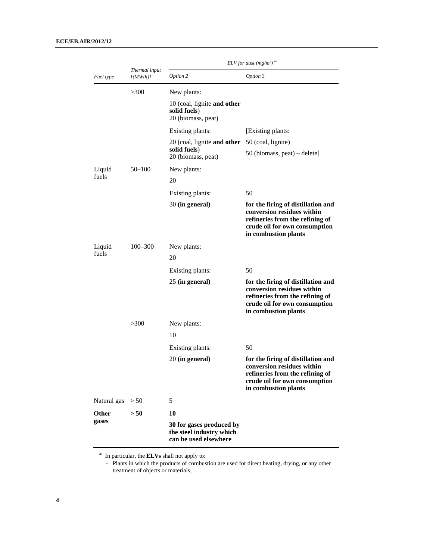|             |                          | ELV for dust (mg/m <sup>3)</sup>                                              |                                                                                                                                                              |
|-------------|--------------------------|-------------------------------------------------------------------------------|--------------------------------------------------------------------------------------------------------------------------------------------------------------|
| Fuel type   | Thermal input<br>[(MWh)] | Option 2                                                                      | Option 3                                                                                                                                                     |
|             | >300                     | New plants:                                                                   |                                                                                                                                                              |
|             |                          | 10 (coal, lignite and other<br>solid fuels)<br>20 (biomass, peat)             |                                                                                                                                                              |
|             |                          | Existing plants:                                                              | [Existing plants:                                                                                                                                            |
|             |                          | 20 (coal, lignite and other                                                   | 50 (coal, lignite)                                                                                                                                           |
|             |                          | solid fuels)<br>20 (biomass, peat)                                            | 50 (biomass, peat) – delete]                                                                                                                                 |
| Liquid      | 50–100                   | New plants:                                                                   |                                                                                                                                                              |
| fuels       |                          | 20                                                                            |                                                                                                                                                              |
|             |                          | Existing plants:                                                              | 50                                                                                                                                                           |
|             |                          | 30 (in general)                                                               | for the firing of distillation and<br>conversion residues within<br>refineries from the refining of<br>crude oil for own consumption<br>in combustion plants |
| Liquid      | 100–300                  | New plants:                                                                   |                                                                                                                                                              |
| fuels       |                          | 20                                                                            |                                                                                                                                                              |
|             |                          | Existing plants:                                                              | 50                                                                                                                                                           |
|             |                          | 25 (in general)                                                               | for the firing of distillation and<br>conversion residues within<br>refineries from the refining of<br>crude oil for own consumption<br>in combustion plants |
|             | >300                     | New plants:                                                                   |                                                                                                                                                              |
|             |                          | 10                                                                            |                                                                                                                                                              |
|             |                          | Existing plants:                                                              | 50                                                                                                                                                           |
|             |                          | 20 (in general)                                                               | for the firing of distillation and<br>conversion residues within<br>refineries from the refining of<br>crude oil for own consumption<br>in combustion plants |
| Natural gas | > 50                     | 5                                                                             |                                                                                                                                                              |
| Other       | > 50                     | 10                                                                            |                                                                                                                                                              |
| gases       |                          | 30 for gases produced by<br>the steel industry which<br>can be used elsewhere |                                                                                                                                                              |

 $\frac{a}{a}$  In particular, the **ELVs** shall not apply to:

 - Plants in which the products of combustion are used for direct heating, drying, or any other treatment of objects or materials;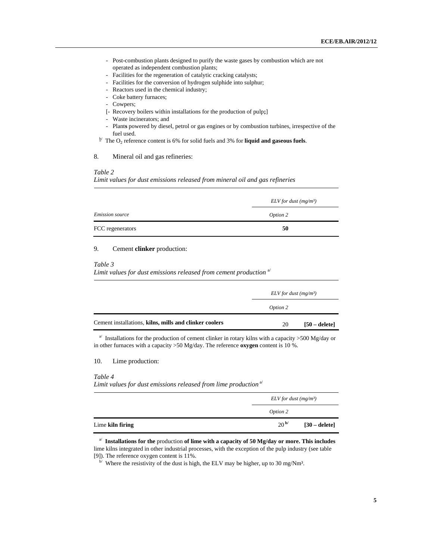- Post-combustion plants designed to purify the waste gases by combustion which are not operated as independent combustion plants;
- Facilities for the regeneration of catalytic cracking catalysts;
- Facilities for the conversion of hydrogen sulphide into sulphur;
- Reactors used in the chemical industry;
- Coke battery furnaces;
- Cowpers;
- [- Recovery boilers within installations for the production of pulp**;**]
- Waste incinerators; and
- Plant**s** powered by diesel, petrol or gas engines or by combustion turbines, irrespective of the fuel used.<br><sup>b/</sup> The O<sub>2</sub> reference content is 6% for solid fuels and 3% for **liquid and gaseous fuels**.
- 

#### 8. Mineral oil and gas refineries:

### *Table 2*

*Limit values for dust emissions released from mineral oil and gas refineries* 

|                        | $ELV$ for dust (mg/m <sup>3</sup> ) |
|------------------------|-------------------------------------|
| <i>Emission source</i> | Option 2                            |
| FCC regenerators       | 50                                  |

## 9. Cement **clinker** production:

#### *Table 3*

*Limit values for dust emissions released from cement production* a/

|                                                        | ELV for dust $(mg/m^3)$ |                 |
|--------------------------------------------------------|-------------------------|-----------------|
|                                                        | Option 2                |                 |
| Cement installations, kilns, mills and clinker coolers | 20                      | $[50 - delete]$ |

<sup>a</sup> Installations for the production of cement clinker in rotary kilns with a capacity >500 Mg/day or in other furnaces with a capacity >50 Mg/day. The reference **oxygen** content is 10 %.

## 10. Lime production:

#### *Table 4*

Limit values for dust emissions released from lime production<sup>a/</sup>

|                  | $ELV$ for dust (mg/m <sup>3</sup> ) |                        |
|------------------|-------------------------------------|------------------------|
|                  | Option 2                            |                        |
| Lime kiln firing | 20 <sup> b/</sup>                   | $[30 - \text{delete}]$ |

<sup>a</sup>/**Installations for the production of lime with a capacity of 50 Mg/day or more. This includes** lime kilns integrated in other industrial processes, with the exception of the pulp industry (see table [9]). The reference oxygen content is 11%.<br><sup>b/</sup> Where the resistivity of the dust is high, the ELV may be higher, up to 30 mg/Nm<sup>3</sup>.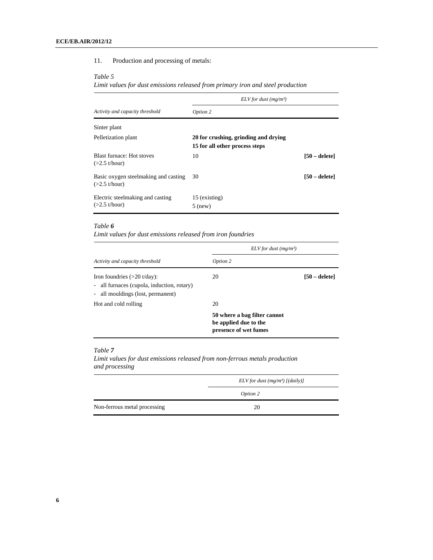## 11. Production and processing of metals:

#### *Table 5*

*Limit values for dust emissions released from primary iron and steel production*

|                                                         | ELV for dust $(mg/m^3)$              |                 |
|---------------------------------------------------------|--------------------------------------|-----------------|
| Activity and capacity threshold                         | Option 2                             |                 |
| Sinter plant                                            |                                      |                 |
| Pelletization plant                                     | 20 for crushing, grinding and drying |                 |
|                                                         | 15 for all other process steps       |                 |
| <b>Blast furnace: Hot stoves</b><br>$(>2.5$ t/hour)     | 10                                   | $[50 - delete]$ |
| Basic oxygen steelmaking and casting<br>$(>2.5$ t/hour) | 30                                   | [50 – delete]   |
| Electric steelmaking and casting<br>$(>2.5$ t/hour)     | 15 (existing)<br>$5$ (new)           |                 |

### *Table 6*

*Limit values for dust emissions released from iron foundries*

|                                                                                                                           | ELV for dust $(mg/m^3)$                                                        |                 |
|---------------------------------------------------------------------------------------------------------------------------|--------------------------------------------------------------------------------|-----------------|
| Activity and capacity threshold                                                                                           | Option 2                                                                       |                 |
| Iron foundries $(>20 \text{ t/day})$ :<br>- all furnaces (cupola, induction, rotary)<br>- all mouldings (lost, permanent) | 20                                                                             | $[50 - delete]$ |
| Hot and cold rolling                                                                                                      | 20                                                                             |                 |
|                                                                                                                           | 50 where a bag filter cannot<br>be applied due to the<br>presence of wet fumes |                 |

## *Table 7*

*Limit values for dust emissions released from non-ferrous metals production and processing* 

|                              | ELV for dust $(mg/m^3)$ [(daily)] |  |
|------------------------------|-----------------------------------|--|
|                              | Option 2                          |  |
| Non-ferrous metal processing | 20                                |  |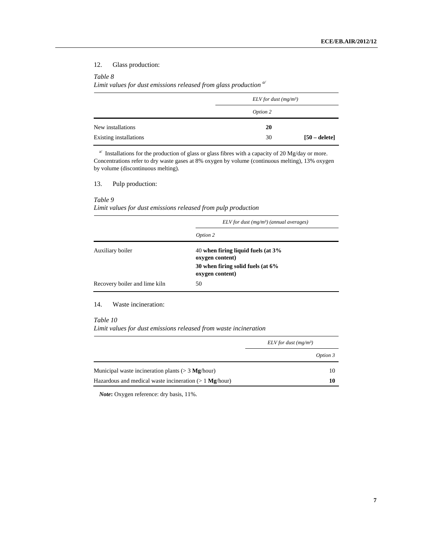## 12. Glass production:

#### *Table 8*

*Limit values for dust emissions released from glass production a/*

|                               | ELV for dust $(mg/m^3)$ |                 |
|-------------------------------|-------------------------|-----------------|
|                               | Option 2                |                 |
| New installations             | 20                      |                 |
| <b>Existing installations</b> | 30                      | $[50 - delete]$ |

 $a^{j}$  Installations for the production of glass or glass fibres with a capacity of 20 Mg/day or more. Concentrations refer to dry waste gases at 8% oxygen by volume (continuous melting), 13% oxygen by volume (discontinuous melting).

13. Pulp production:

### *Table 9*

*Limit values for dust emissions released from pulp production*

|                               | $ELV$ for dust (mg/m <sup>3</sup> ) (annual averages)                                                            |  |
|-------------------------------|------------------------------------------------------------------------------------------------------------------|--|
|                               | Option 2                                                                                                         |  |
| Auxiliary boiler              | 40 when firing liquid fuels (at $3\%$<br>oxygen content)<br>30 when firing solid fuels (at 6%<br>oxygen content) |  |
| Recovery boiler and lime kiln | 50                                                                                                               |  |

14. Waste incineration:

#### *Table 10*

*Limit values for dust emissions released from waste incineration*

|                                                         | ELV for dust $(mg/m^3)$ |  |
|---------------------------------------------------------|-------------------------|--|
|                                                         | Option 3                |  |
| Municipal waste incineration plants ( $>$ 3 Mg/hour)    | 10                      |  |
| Hazardous and medical waste incineration $(>1$ Mg/hour) |                         |  |

*Note***:** Oxygen reference: dry basis, 11%.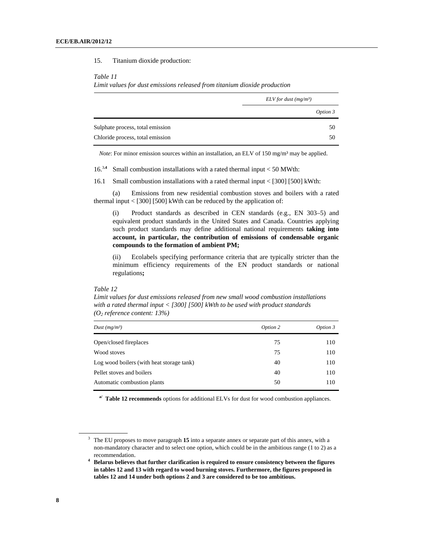#### 15. Titanium dioxide production:

#### *Table 11*

*Limit values for dust emissions released from titanium dioxide production*

|                                  | ELV for dust $(mg/m^3)$ |  |
|----------------------------------|-------------------------|--|
|                                  | Option 3                |  |
| Sulphate process, total emission | 50                      |  |
| Chloride process, total emission | 50                      |  |

*Note*: For minor emission sources within an installation, an ELV of 150 mg/m<sup>3</sup> may be applied.

 $16^{3.4}$  Small combustion installations with a rated thermal input < 50 MWth:

16.1 Small combustion installations with a rated thermal input < [300] [500] kWth:

 (a) Emissions from new residential combustion stoves and boilers with a rated thermal input  $\langle$  [300] [500] kWth can be reduced by the application of:

(i) Product standards as described in CEN standards (e.g., EN 303–5) and equivalent product standards in the United States and Canada. Countries applying such product standards may define additional national requirements **taking into account, in particular, the contribution of emissions of condensable organic compounds to the formation of ambient PM;**

(ii) Ecolabels specifying performance criteria that are typically stricter than the minimum efficiency requirements of the EN product standards or national regulations**;** 

#### *Table 12*

*Limit values for dust emissions released from new small wood combustion installations with a rated thermal input < [300] [500] kWth to be used with product standards (O2 reference content: 13%)* 

| Dust $(mg/m^3)$                           | Option 2 | Option 3 |
|-------------------------------------------|----------|----------|
| Open/closed fireplaces                    | 75       | 110      |
| Wood stoves                               | 75       | 110      |
| Log wood boilers (with heat storage tank) | 40       | 110      |
| Pellet stoves and boilers                 | 40       | 110      |
| Automatic combustion plants               | 50       | 110      |

**a/ Table 12 recommends** options for additional ELVs for dust for wood combustion appliances.

<sup>3</sup> The EU proposes to move paragraph **15** into a separate annex or separate part of this annex, with a non-mandatory character and to select one option, which could be in the ambitious range (1 to 2) as a recommendation.

**<sup>4</sup> Belarus believes that further clarification is required to ensure consistency between the figures in tables 12 and 13 with regard to wood burning stoves. Furthermore, the figures proposed in tables 12 and 14 under both options 2 and 3 are considered to be too ambitious.**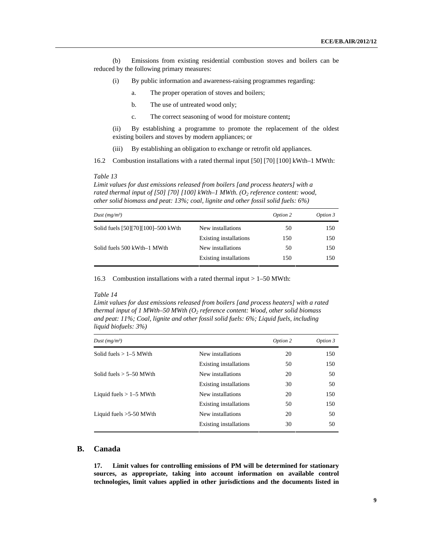(b) Emissions from existing residential combustion stoves and boilers can be reduced by the following primary measures:

- (i) By public information and awareness-raising programmes regarding:
	- a. The proper operation of stoves and boilers;
	- b. The use of untreated wood only;
	- c. The correct seasoning of wood for moisture content**;**

(ii) By establishing a programme to promote the replacement of the oldest existing boilers and stoves by modern appliances; or

(iii) By establishing an obligation to exchange or retrofit old appliances.

16.2 Combustion installations with a rated thermal input [50] [70] [100] kWth–1 MWth:

#### *Table 13*

*Limit values for dust emissions released from boilers [and process heaters] with a*  rated thermal input of [50] [70] [100] kWth–1 MWth. (O<sub>2</sub> reference content: wood, *other solid biomass and peat: 13%; coal, lignite and other fossil solid fuels: 6%)* 

| Dust $(mg/m^3)$                    |                        | Option 2 | Option 3 |
|------------------------------------|------------------------|----------|----------|
| Solid fuels [50][70][100]-500 kWth | New installations      | 50       | 150      |
|                                    | Existing installations | 150      | 150      |
| Solid fuels 500 kWth–1 MWth        | New installations      | 50       | 150      |
|                                    | Existing installations | 150      | 150      |

16.3 Combustion installations with a rated thermal input > 1–50 MWth:

#### *Table 14*

*Limit values for dust emissions released from boilers [and process heaters] with a rated thermal input of 1 MWth–50 MWth (O2 reference content: Wood, other solid biomass and peat: 11%; Coal, lignite and other fossil solid fuels: 6%; Liquid fuels, including liquid biofuels: 3%)* 

| Dust $(mg/m^3)$           |                               | Option 2 | Option 3 |
|---------------------------|-------------------------------|----------|----------|
| Solid fuels $> 1-5$ MWth  | New installations             | 20       | 150      |
|                           | Existing installations        | 50       | 150      |
| Solid fuels $> 5-50$ MWth | New installations             | 20       | 50       |
|                           | Existing installations        | 30       | 50       |
| Liquid fuels $> 1-5$ MWth | New installations             | 20       | 150      |
|                           | <b>Existing installations</b> | 50       | 150      |
| Liquid fuels $>5-50$ MWth | New installations             | 20       | 50       |
|                           | <b>Existing installations</b> | 30       | 50       |

## **B. Canada**

**17. Limit values for controlling emissions of PM will be determined for stationary sources, as appropriate, taking into account information on available control technologies, limit values applied in other jurisdictions and the documents listed in**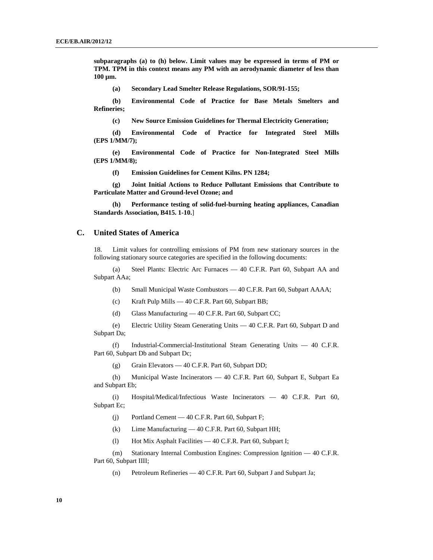**subparagraphs (a) to (h) below. Limit values may be expressed in terms of PM or TPM. TPM in this context means any PM with an aerodynamic diameter of less than 100 µm.** 

**(a) Secondary Lead Smelter Release Regulations, SOR/91-155;** 

**(b) Environmental Code of Practice for Base Metals Smelters and Refineries;** 

**(c) New Source Emission Guidelines for Thermal Electricity Generation;** 

**(d) Environmental Code of Practice for Integrated Steel Mills (EPS 1/MM/7);** 

**(e) Environmental Code of Practice for Non-Integrated Steel Mills (EPS 1/MM/8);** 

**(f) Emission Guidelines for Cement Kilns. PN 1284;** 

**(g) Joint Initial Actions to Reduce Pollutant Emissions that Contribute to Particulate Matter and Ground-level Ozone; and** 

**(h) Performance testing of solid-fuel-burning heating appliances, Canadian Standards Association, B415. 1-10.**]

### **C. United States of America**

18. Limit values for controlling emissions of PM from new stationary sources in the following stationary source categories are specified in the following documents:

 (a) Steel Plants: Electric Arc Furnaces — 40 C.F.R. Part 60, Subpart AA and Subpart AAa;

- (b) Small Municipal Waste Combustors 40 C.F.R. Part 60, Subpart AAAA;
- (c) Kraft Pulp Mills 40 C.F.R. Part 60, Subpart BB;
- (d) Glass Manufacturing 40 C.F.R. Part 60, Subpart CC;

(e) Electric Utility Steam Generating Units — 40 C.F.R. Part 60, Subpart D and Subpart Da;

(f) Industrial-Commercial-Institutional Steam Generating Units — 40 C.F.R. Part 60, Subpart Db and Subpart Dc;

(g) Grain Elevators — 40 C.F.R. Part 60, Subpart DD;

(h) Municipal Waste Incinerators — 40 C.F.R. Part 60, Subpart E, Subpart Ea and Subpart Eb;

(i) Hospital/Medical/Infectious Waste Incinerators — 40 C.F.R. Part 60, Subpart Ec;

- (j) Portland Cement 40 C.F.R. Part 60, Subpart F;
- (k) Lime Manufacturing 40 C.F.R. Part 60, Subpart HH;
- (l) Hot Mix Asphalt Facilities 40 C.F.R. Part 60, Subpart I;

(m) Stationary Internal Combustion Engines: Compression Ignition — 40 C.F.R. Part 60, Subpart IIII;

(n) Petroleum Refineries — 40 C.F.R. Part 60, Subpart J and Subpart Ja;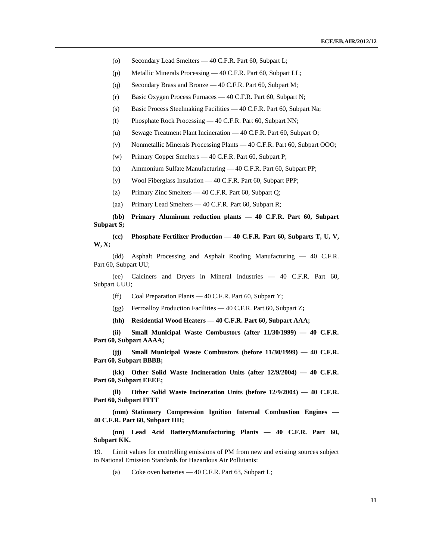- (o) Secondary Lead Smelters 40 C.F.R. Part 60, Subpart L;
- (p) Metallic Minerals Processing 40 C.F.R. Part 60, Subpart LL;
- (q) Secondary Brass and Bronze 40 C.F.R. Part 60, Subpart M;
- (r) Basic Oxygen Process Furnaces 40 C.F.R. Part 60, Subpart N;
- (s) Basic Process Steelmaking Facilities 40 C.F.R. Part 60, Subpart Na;
- (t) Phosphate Rock Processing 40 C.F.R. Part 60, Subpart NN;
- (u) Sewage Treatment Plant Incineration 40 C.F.R. Part 60, Subpart O;
- (v) Nonmetallic Minerals Processing Plants 40 C.F.R. Part 60, Subpart OOO;
- (w) Primary Copper Smelters 40 C.F.R. Part 60, Subpart P;
- (x) Ammonium Sulfate Manufacturing 40 C.F.R. Part 60, Subpart PP;
- (y) Wool Fiberglass Insulation 40 C.F.R. Part 60, Subpart PPP;
- (z) Primary Zinc Smelters 40 C.F.R. Part 60, Subpart Q;
- (aa) Primary Lead Smelters 40 C.F.R. Part 60, Subpart R;

**(bb) Primary Aluminum reduction plants — 40 C.F.R. Part 60, Subpart Subpart S;** 

**(cc) Phosphate Fertilizer Production — 40 C.F.R. Part 60, Subparts T, U, V, W, X;** 

(dd) Asphalt Processing and Asphalt Roofing Manufacturing — 40 C.F.R. Part 60, Subpart UU;

(ee) Calciners and Dryers in Mineral Industries — 40 C.F.R. Part 60, Subpart UUU;

- (ff) Coal Preparation Plants 40 C.F.R. Part 60, Subpart Y;
- (gg) Ferroalloy Production Facilities 40 C.F.R. Part 60, Subpart Z**;**
- **(hh) Residential Wood Heaters 40 C.F.R. Part 60, Subpart AAA;**

**(ii) Small Municipal Waste Combustors (after 11/30/1999) — 40 C.F.R. Part 60, Subpart AAAA;** 

**(jj) Small Municipal Waste Combustors (before 11/30/1999) — 40 C.F.R. Part 60, Subpart BBBB;** 

**(kk) Other Solid Waste Incineration Units (after 12/9/2004) — 40 C.F.R. Part 60, Subpart EEEE;** 

**(ll) Other Solid Waste Incineration Units (before 12/9/2004) — 40 C.F.R. Part 60, Subpart FFFF** 

**(mm) Stationary Compression Ignition Internal Combustion Engines — 40 C.F.R. Part 60, Subpart IIII;** 

**(nn) Lead Acid BatteryManufacturing Plants — 40 C.F.R. Part 60, Subpart KK.** 

19. Limit values for controlling emissions of PM from new and existing sources subject to National Emission Standards for Hazardous Air Pollutants:

(a) Coke oven batteries — 40 C.F.R. Part 63, Subpart L;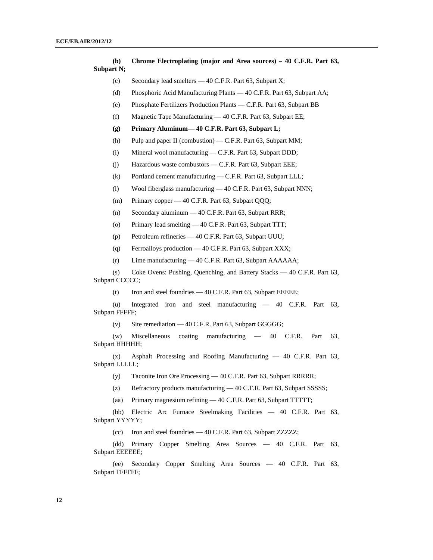**(b) Chrome Electroplating (major and Area sources) – 40 C.F.R. Part 63, Subpart N;** 

- (c) Secondary lead smelters 40 C.F.R. Part 63, Subpart X;
- (d) Phosphoric Acid Manufacturing Plants 40 C.F.R. Part 63, Subpart AA;
- (e) Phosphate Fertilizers Production Plants C.F.R. Part 63, Subpart BB
- (f) Magnetic Tape Manufacturing 40 C.F.R. Part 63, Subpart EE;
- **(g) Primary Aluminum— 40 C.F.R. Part 63, Subpart L;**
- (h) Pulp and paper II (combustion) C.F.R. Part 63, Subpart MM;
- (i) Mineral wool manufacturing C.F.R. Part 63, Subpart DDD;
- (j) Hazardous waste combustors C.F.R. Part 63, Subpart EEE;
- (k) Portland cement manufacturing C.F.R. Part 63, Subpart LLL;
- (l) Wool fiberglass manufacturing 40 C.F.R. Part 63, Subpart NNN;
- (m) Primary copper 40 C.F.R. Part 63, Subpart QQQ;
- (n) Secondary aluminum 40 C.F.R. Part 63, Subpart RRR;
- (o) Primary lead smelting 40 C.F.R. Part 63, Subpart TTT;
- (p) Petroleum refineries 40 C.F.R. Part 63, Subpart UUU;
- (q) Ferroalloys production 40 C.F.R. Part 63, Subpart XXX;
- (r) Lime manufacturing 40 C.F.R. Part 63, Subpart AAAAAA;

 (s) Coke Ovens: Pushing, Quenching, and Battery Stacks — 40 C.F.R. Part 63, Subpart CCCCC;

(t) Iron and steel foundries — 40 C.F.R. Part 63, Subpart EEEEE;

 (u) Integrated iron and steel manufacturing — 40 C.F.R. Part 63, Subpart FFFFF;

(v) Site remediation  $-40$  C.F.R. Part 63, Subpart GGGGG;

 (w) Miscellaneous coating manufacturing — 40 C.F.R. Part 63, Subpart HHHHH;

 (x) Asphalt Processing and Roofing Manufacturing — 40 C.F.R. Part 63, Subpart LLLLL;

(y) Taconite Iron Ore Processing — 40 C.F.R. Part 63, Subpart RRRRR;

(z) Refractory products manufacturing — 40 C.F.R. Part 63, Subpart SSSSS;

(aa) Primary magnesium refining — 40 C.F.R. Part 63, Subpart TTTTT;

 (bb) Electric Arc Furnace Steelmaking Facilities — 40 C.F.R. Part 63, Subpart YYYYY;

(cc) Iron and steel foundries — 40 C.F.R. Part 63, Subpart ZZZZZ;

 (dd) Primary Copper Smelting Area Sources — 40 C.F.R. Part 63, Subpart EEEEEE;

 (ee) Secondary Copper Smelting Area Sources — 40 C.F.R. Part 63, Subpart FFFFFF;